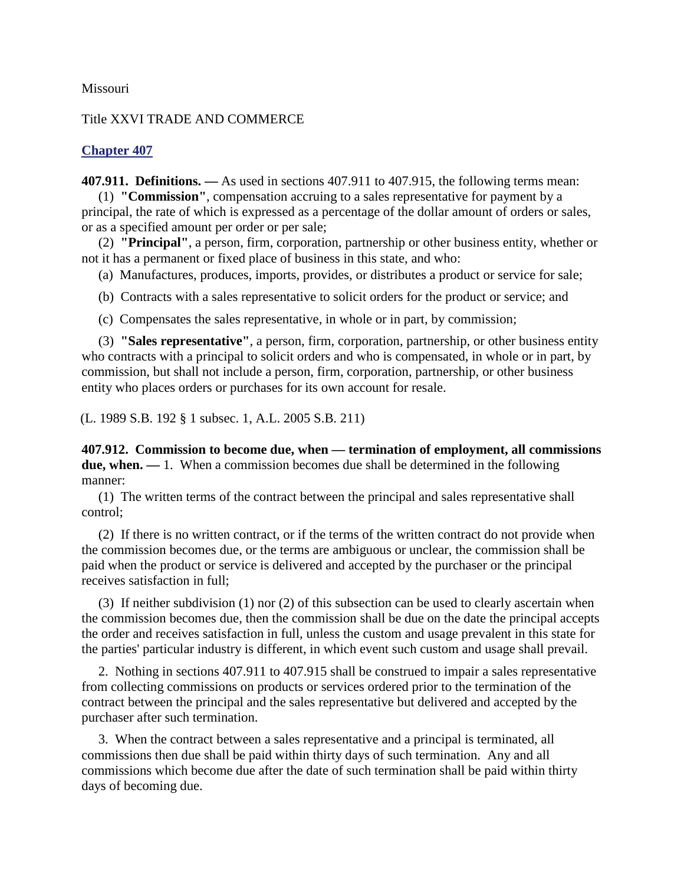## Missouri

## Title XXVI TRADE AND COMMERCE

## **Chapter 407**

**407.911. Definitions. —** As used in sections 407.911 to 407.915, the following terms mean:

(1) **"Commission"**, compensation accruing to a sales representative for payment by a principal, the rate of which is expressed as a percentage of the dollar amount of orders or sales, or as a specified amount per order or per sale;

(2) **"Principal"**, a person, firm, corporation, partnership or other business entity, whether or not it has a permanent or fixed place of business in this state, and who:

(a) Manufactures, produces, imports, provides, or distributes a product or service for sale;

(b) Contracts with a sales representative to solicit orders for the product or service; and

(c) Compensates the sales representative, in whole or in part, by commission;

(3) **"Sales representative"**, a person, firm, corporation, partnership, or other business entity who contracts with a principal to solicit orders and who is compensated, in whole or in part, by commission, but shall not include a person, firm, corporation, partnership, or other business entity who places orders or purchases for its own account for resale.

(L. 1989 S.B. 192 § 1 subsec. 1, A.L. 2005 S.B. 211)

**407.912. Commission to become due, when — termination of employment, all commissions due, when. —** 1. When a commission becomes due shall be determined in the following manner:

(1) The written terms of the contract between the principal and sales representative shall control;

(2) If there is no written contract, or if the terms of the written contract do not provide when the commission becomes due, or the terms are ambiguous or unclear, the commission shall be paid when the product or service is delivered and accepted by the purchaser or the principal receives satisfaction in full;

(3) If neither subdivision (1) nor (2) of this subsection can be used to clearly ascertain when the commission becomes due, then the commission shall be due on the date the principal accepts the order and receives satisfaction in full, unless the custom and usage prevalent in this state for the parties' particular industry is different, in which event such custom and usage shall prevail.

2. Nothing in sections 407.911 to 407.915 shall be construed to impair a sales representative from collecting commissions on products or services ordered prior to the termination of the contract between the principal and the sales representative but delivered and accepted by the purchaser after such termination.

3. When the contract between a sales representative and a principal is terminated, all commissions then due shall be paid within thirty days of such termination. Any and all commissions which become due after the date of such termination shall be paid within thirty days of becoming due.